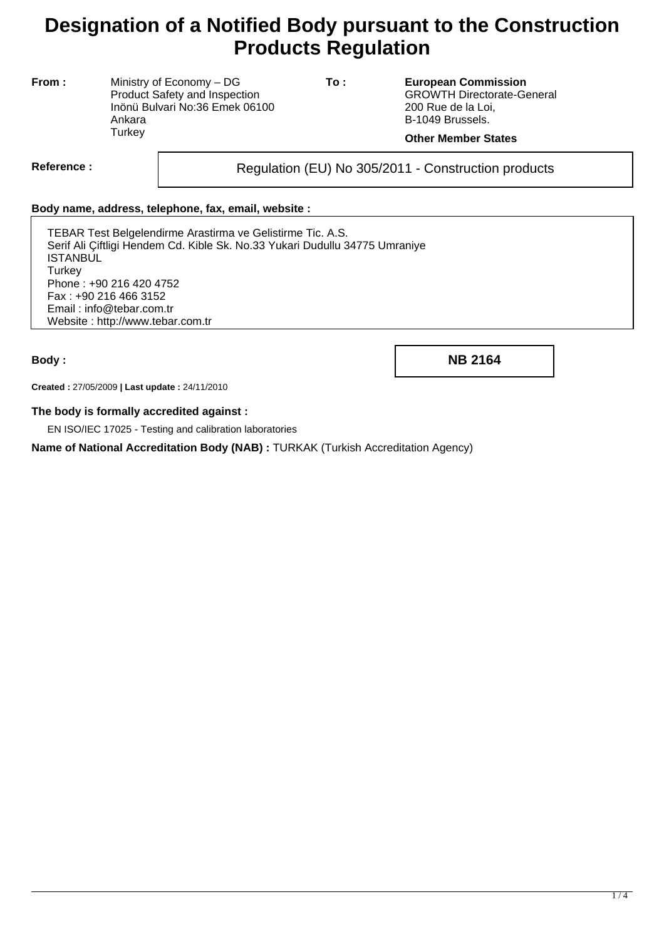# **Designation of a Notified Body pursuant to the Construction Products Regulation**

**From :** Ministry of Economy – DG Product Safety and Inspection Inönü Bulvari No:36 Emek 06100 Ankara **Turkey** 

**To : European Commission** GROWTH Directorate-General 200 Rue de la Loi, B-1049 Brussels.

## **Other Member States**

Reference : and **Regulation (EU) No 305/2011** - Construction products

#### **Body name, address, telephone, fax, email, website :**

TEBAR Test Belgelendirme Arastirma ve Gelistirme Tic. A.S. Serif Ali Çiftligi Hendem Cd. Kible Sk. No.33 Yukari Dudullu 34775 Umraniye ISTANBUL **Turkey** Phone : +90 216 420 4752 Fax : +90 216 466 3152 Email : info@tebar.com.tr Website : http://www.tebar.com.tr

**Body : NB 2164**

**Created :** 27/05/2009 **| Last update :** 24/11/2010

#### **The body is formally accredited against :**

EN ISO/IEC 17025 - Testing and calibration laboratories

**Name of National Accreditation Body (NAB) :** TURKAK (Turkish Accreditation Agency)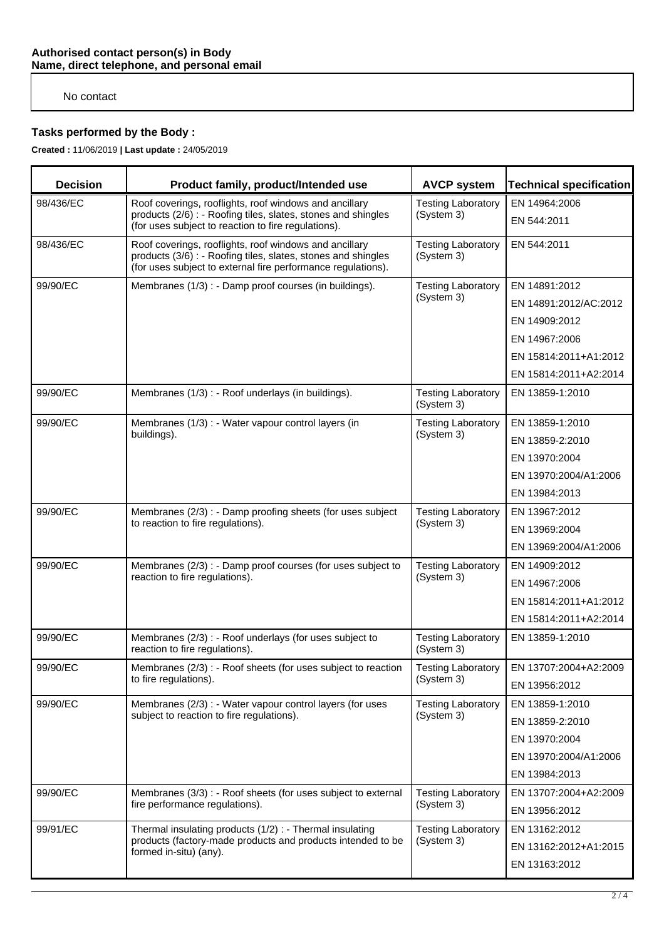## No contact

# **Tasks performed by the Body :**

**Created :** 11/06/2019 **| Last update :** 24/05/2019

| <b>Decision</b> | Product family, product/Intended use                                                                                                                                                    | <b>AVCP system</b>                      | <b>Technical specification</b> |
|-----------------|-----------------------------------------------------------------------------------------------------------------------------------------------------------------------------------------|-----------------------------------------|--------------------------------|
| 98/436/EC       | Roof coverings, rooflights, roof windows and ancillary<br>products (2/6) : - Roofing tiles, slates, stones and shingles<br>(for uses subject to reaction to fire regulations).          | <b>Testing Laboratory</b><br>(System 3) | EN 14964:2006<br>EN 544:2011   |
| 98/436/EC       | Roof coverings, rooflights, roof windows and ancillary<br>products (3/6) : - Roofing tiles, slates, stones and shingles<br>(for uses subject to external fire performance regulations). | <b>Testing Laboratory</b><br>(System 3) | EN 544:2011                    |
| 99/90/EC        | Membranes (1/3) : - Damp proof courses (in buildings).                                                                                                                                  | <b>Testing Laboratory</b><br>(System 3) | EN 14891:2012                  |
|                 |                                                                                                                                                                                         |                                         | EN 14891:2012/AC:2012          |
|                 |                                                                                                                                                                                         |                                         | EN 14909:2012                  |
|                 |                                                                                                                                                                                         |                                         | EN 14967:2006                  |
|                 |                                                                                                                                                                                         |                                         | EN 15814:2011+A1:2012          |
|                 |                                                                                                                                                                                         |                                         | EN 15814:2011+A2:2014          |
| 99/90/EC        | Membranes (1/3) : - Roof underlays (in buildings).                                                                                                                                      | <b>Testing Laboratory</b><br>(System 3) | EN 13859-1:2010                |
| 99/90/EC        | Membranes (1/3) : - Water vapour control layers (in<br>buildings).                                                                                                                      | <b>Testing Laboratory</b><br>(System 3) | EN 13859-1:2010                |
|                 |                                                                                                                                                                                         |                                         | EN 13859-2:2010                |
|                 |                                                                                                                                                                                         |                                         | EN 13970:2004                  |
|                 |                                                                                                                                                                                         |                                         | EN 13970:2004/A1:2006          |
|                 |                                                                                                                                                                                         |                                         | EN 13984:2013                  |
| 99/90/EC        | Membranes (2/3) : - Damp proofing sheets (for uses subject<br>to reaction to fire regulations).                                                                                         | <b>Testing Laboratory</b><br>(System 3) | EN 13967:2012                  |
|                 |                                                                                                                                                                                         |                                         | EN 13969:2004                  |
|                 |                                                                                                                                                                                         |                                         | EN 13969:2004/A1:2006          |
| 99/90/EC        | Membranes (2/3) : - Damp proof courses (for uses subject to<br>reaction to fire regulations).                                                                                           | <b>Testing Laboratory</b><br>(System 3) | EN 14909:2012                  |
|                 |                                                                                                                                                                                         |                                         | EN 14967:2006                  |
|                 |                                                                                                                                                                                         |                                         | EN 15814:2011+A1:2012          |
|                 |                                                                                                                                                                                         |                                         | EN 15814:2011+A2:2014          |
| 99/90/EC        | Membranes (2/3) : - Roof underlays (for uses subject to<br>reaction to fire regulations).                                                                                               | <b>Testing Laboratory</b><br>(System 3) | EN 13859-1:2010                |
| 99/90/EC        | Membranes (2/3) : - Roof sheets (for uses subject to reaction<br>to fire regulations).                                                                                                  | <b>Testing Laboratory</b><br>(System 3) | EN 13707:2004+A2:2009          |
|                 |                                                                                                                                                                                         |                                         | EN 13956:2012                  |
| 99/90/EC        | Membranes (2/3) : - Water vapour control layers (for uses<br>subject to reaction to fire regulations).                                                                                  | <b>Testing Laboratory</b><br>(System 3) | EN 13859-1:2010                |
|                 |                                                                                                                                                                                         |                                         | EN 13859-2:2010                |
|                 |                                                                                                                                                                                         |                                         | EN 13970:2004                  |
|                 |                                                                                                                                                                                         |                                         | EN 13970:2004/A1:2006          |
|                 |                                                                                                                                                                                         |                                         | EN 13984:2013                  |
| 99/90/EC        | Membranes (3/3) : - Roof sheets (for uses subject to external<br>fire performance regulations).                                                                                         | <b>Testing Laboratory</b><br>(System 3) | EN 13707:2004+A2:2009          |
|                 |                                                                                                                                                                                         |                                         | EN 13956:2012                  |
| 99/91/EC        | Thermal insulating products (1/2) : - Thermal insulating<br>products (factory-made products and products intended to be<br>formed in-situ) (any).                                       | <b>Testing Laboratory</b><br>(System 3) | EN 13162:2012                  |
|                 |                                                                                                                                                                                         |                                         | EN 13162:2012+A1:2015          |
|                 |                                                                                                                                                                                         |                                         | EN 13163:2012                  |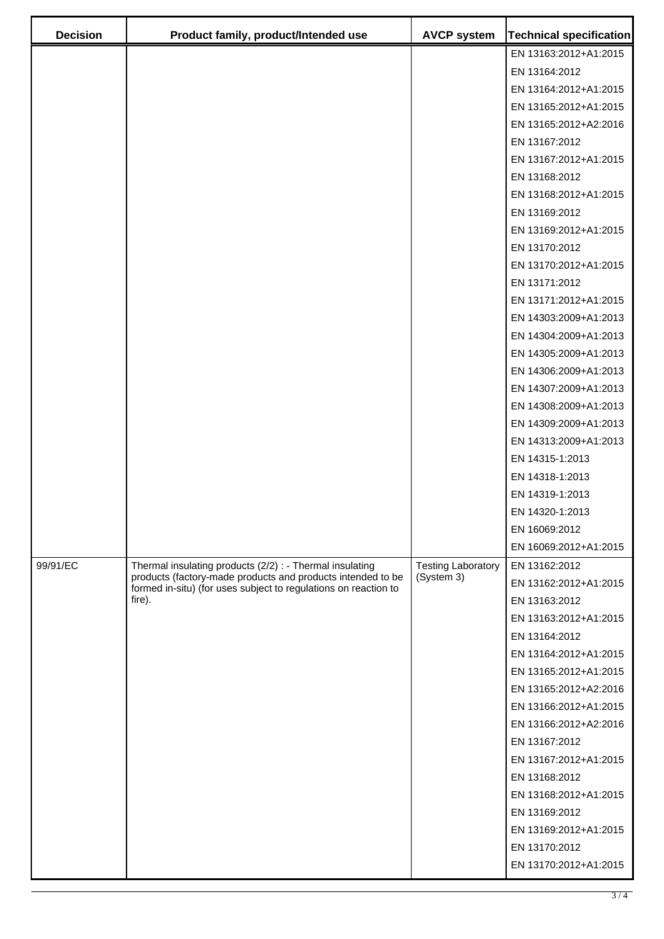| <b>Decision</b> | Product family, product/Intended use                                                                                                                                                                 | <b>AVCP system</b>                      | <b>Technical specification</b> |
|-----------------|------------------------------------------------------------------------------------------------------------------------------------------------------------------------------------------------------|-----------------------------------------|--------------------------------|
|                 |                                                                                                                                                                                                      |                                         | EN 13163:2012+A1:2015          |
|                 |                                                                                                                                                                                                      |                                         | EN 13164:2012                  |
|                 |                                                                                                                                                                                                      |                                         | EN 13164:2012+A1:2015          |
|                 |                                                                                                                                                                                                      |                                         | EN 13165:2012+A1:2015          |
|                 |                                                                                                                                                                                                      |                                         | EN 13165:2012+A2:2016          |
|                 |                                                                                                                                                                                                      |                                         | EN 13167:2012                  |
|                 |                                                                                                                                                                                                      |                                         | EN 13167:2012+A1:2015          |
|                 |                                                                                                                                                                                                      |                                         | EN 13168:2012                  |
|                 |                                                                                                                                                                                                      |                                         | EN 13168:2012+A1:2015          |
|                 |                                                                                                                                                                                                      |                                         | EN 13169:2012                  |
|                 |                                                                                                                                                                                                      |                                         | EN 13169:2012+A1:2015          |
|                 |                                                                                                                                                                                                      |                                         | EN 13170:2012                  |
|                 |                                                                                                                                                                                                      |                                         | EN 13170:2012+A1:2015          |
|                 |                                                                                                                                                                                                      |                                         | EN 13171:2012                  |
|                 |                                                                                                                                                                                                      |                                         | EN 13171:2012+A1:2015          |
|                 |                                                                                                                                                                                                      |                                         | EN 14303:2009+A1:2013          |
|                 |                                                                                                                                                                                                      |                                         | EN 14304:2009+A1:2013          |
|                 |                                                                                                                                                                                                      |                                         | EN 14305:2009+A1:2013          |
|                 |                                                                                                                                                                                                      |                                         | EN 14306:2009+A1:2013          |
|                 |                                                                                                                                                                                                      |                                         | EN 14307:2009+A1:2013          |
|                 |                                                                                                                                                                                                      |                                         | EN 14308:2009+A1:2013          |
|                 |                                                                                                                                                                                                      |                                         | EN 14309:2009+A1:2013          |
|                 |                                                                                                                                                                                                      |                                         | EN 14313:2009+A1:2013          |
|                 |                                                                                                                                                                                                      |                                         | EN 14315-1:2013                |
|                 |                                                                                                                                                                                                      |                                         | EN 14318-1:2013                |
|                 |                                                                                                                                                                                                      |                                         | EN 14319-1:2013                |
|                 |                                                                                                                                                                                                      |                                         | EN 14320-1:2013                |
|                 |                                                                                                                                                                                                      |                                         | EN 16069:2012                  |
|                 |                                                                                                                                                                                                      |                                         | EN 16069:2012+A1:2015          |
| 99/91/EC        | Thermal insulating products (2/2) : - Thermal insulating<br>products (factory-made products and products intended to be<br>formed in-situ) (for uses subject to regulations on reaction to<br>fire). | <b>Testing Laboratory</b><br>(System 3) | EN 13162:2012                  |
|                 |                                                                                                                                                                                                      |                                         | EN 13162:2012+A1:2015          |
|                 |                                                                                                                                                                                                      |                                         | EN 13163:2012                  |
|                 |                                                                                                                                                                                                      |                                         | EN 13163:2012+A1:2015          |
|                 |                                                                                                                                                                                                      |                                         | EN 13164:2012                  |
|                 |                                                                                                                                                                                                      |                                         | EN 13164:2012+A1:2015          |
|                 |                                                                                                                                                                                                      |                                         | EN 13165:2012+A1:2015          |
|                 |                                                                                                                                                                                                      |                                         | EN 13165:2012+A2:2016          |
|                 |                                                                                                                                                                                                      |                                         | EN 13166:2012+A1:2015          |
|                 |                                                                                                                                                                                                      |                                         | EN 13166:2012+A2:2016          |
|                 |                                                                                                                                                                                                      |                                         | EN 13167:2012                  |
|                 |                                                                                                                                                                                                      |                                         | EN 13167:2012+A1:2015          |
|                 |                                                                                                                                                                                                      |                                         | EN 13168:2012                  |
|                 |                                                                                                                                                                                                      |                                         | EN 13168:2012+A1:2015          |
|                 |                                                                                                                                                                                                      |                                         | EN 13169:2012                  |
|                 |                                                                                                                                                                                                      |                                         | EN 13169:2012+A1:2015          |
|                 |                                                                                                                                                                                                      |                                         | EN 13170:2012                  |
|                 |                                                                                                                                                                                                      |                                         | EN 13170:2012+A1:2015          |